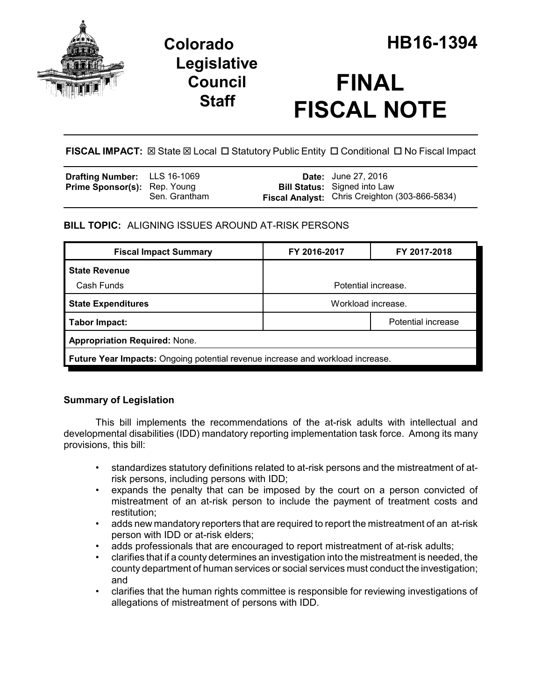

# **Legislative Council Staff**

# **FINAL FISCAL NOTE**

**FISCAL IMPACT:**  $\boxtimes$  **State**  $\boxtimes$  **Local □ Statutory Public Entity □ Conditional □ No Fiscal Impact** 

| <b>Drafting Number:</b> LLS 16-1069 |               | <b>Date:</b> June 27, 2016                            |
|-------------------------------------|---------------|-------------------------------------------------------|
| <b>Prime Sponsor(s): Rep. Young</b> |               | <b>Bill Status:</b> Signed into Law                   |
|                                     | Sen. Grantham | <b>Fiscal Analyst:</b> Chris Creighton (303-866-5834) |

# **BILL TOPIC:** ALIGNING ISSUES AROUND AT-RISK PERSONS

| <b>Fiscal Impact Summary</b>                                                          | FY 2016-2017        | FY 2017-2018 |  |  |  |
|---------------------------------------------------------------------------------------|---------------------|--------------|--|--|--|
| <b>State Revenue</b>                                                                  |                     |              |  |  |  |
| Cash Funds                                                                            | Potential increase. |              |  |  |  |
| <b>State Expenditures</b>                                                             | Workload increase.  |              |  |  |  |
| Tabor Impact:                                                                         | Potential increase  |              |  |  |  |
| <b>Appropriation Required: None.</b>                                                  |                     |              |  |  |  |
| <b>Future Year Impacts:</b> Ongoing potential revenue increase and workload increase. |                     |              |  |  |  |

# **Summary of Legislation**

This bill implements the recommendations of the at-risk adults with intellectual and developmental disabilities (IDD) mandatory reporting implementation task force. Among its many provisions, this bill:

- standardizes statutory definitions related to at-risk persons and the mistreatment of atrisk persons, including persons with IDD;
- expands the penalty that can be imposed by the court on a person convicted of mistreatment of an at-risk person to include the payment of treatment costs and restitution;
- adds new mandatory reporters that are required to report the mistreatment of an at-risk person with IDD or at-risk elders;
- adds professionals that are encouraged to report mistreatment of at-risk adults;
- clarifies that if a county determines an investigation into the mistreatment is needed, the county department of human services or social services must conduct the investigation; and
- clarifies that the human rights committee is responsible for reviewing investigations of allegations of mistreatment of persons with IDD.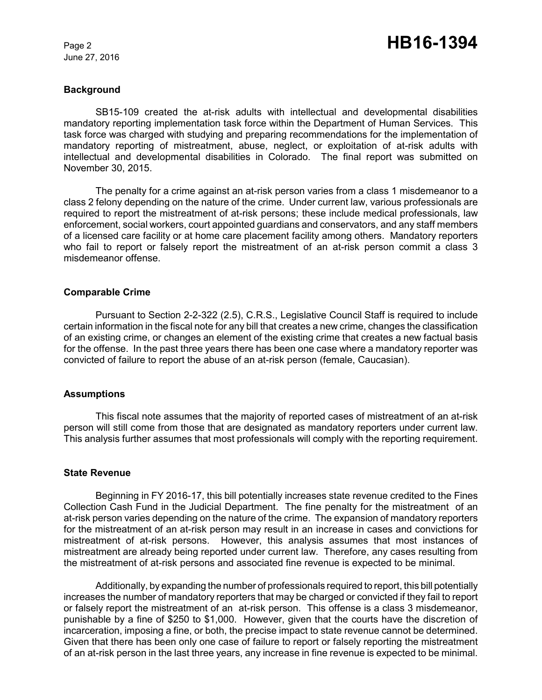June 27, 2016

#### **Background**

SB15-109 created the at-risk adults with intellectual and developmental disabilities mandatory reporting implementation task force within the Department of Human Services. This task force was charged with studying and preparing recommendations for the implementation of mandatory reporting of mistreatment, abuse, neglect, or exploitation of at-risk adults with intellectual and developmental disabilities in Colorado. The final report was submitted on November 30, 2015.

The penalty for a crime against an at-risk person varies from a class 1 misdemeanor to a class 2 felony depending on the nature of the crime. Under current law, various professionals are required to report the mistreatment of at-risk persons; these include medical professionals, law enforcement, social workers, court appointed guardians and conservators, and any staff members of a licensed care facility or at home care placement facility among others. Mandatory reporters who fail to report or falsely report the mistreatment of an at-risk person commit a class 3 misdemeanor offense.

#### **Comparable Crime**

Pursuant to Section 2-2-322 (2.5), C.R.S., Legislative Council Staff is required to include certain information in the fiscal note for any bill that creates a new crime, changes the classification of an existing crime, or changes an element of the existing crime that creates a new factual basis for the offense. In the past three years there has been one case where a mandatory reporter was convicted of failure to report the abuse of an at-risk person (female, Caucasian).

#### **Assumptions**

This fiscal note assumes that the majority of reported cases of mistreatment of an at-risk person will still come from those that are designated as mandatory reporters under current law. This analysis further assumes that most professionals will comply with the reporting requirement.

#### **State Revenue**

Beginning in FY 2016-17, this bill potentially increases state revenue credited to the Fines Collection Cash Fund in the Judicial Department. The fine penalty for the mistreatment of an at-risk person varies depending on the nature of the crime. The expansion of mandatory reporters for the mistreatment of an at-risk person may result in an increase in cases and convictions for mistreatment of at-risk persons. However, this analysis assumes that most instances of mistreatment are already being reported under current law. Therefore, any cases resulting from the mistreatment of at-risk persons and associated fine revenue is expected to be minimal.

Additionally, by expanding the number of professionals required to report, this bill potentially increases the number of mandatory reporters that may be charged or convicted if they fail to report or falsely report the mistreatment of an at-risk person. This offense is a class 3 misdemeanor, punishable by a fine of \$250 to \$1,000. However, given that the courts have the discretion of incarceration, imposing a fine, or both, the precise impact to state revenue cannot be determined. Given that there has been only one case of failure to report or falsely reporting the mistreatment of an at-risk person in the last three years, any increase in fine revenue is expected to be minimal.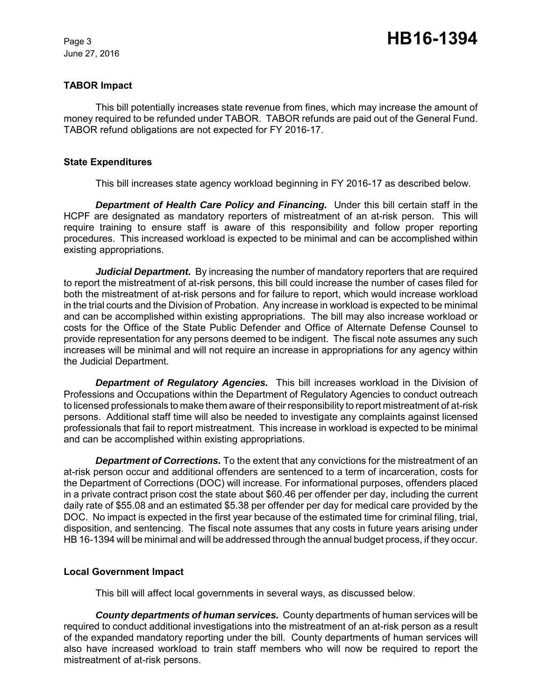June 27, 2016

# **TABOR Impact**

This bill potentially increases state revenue from fines, which may increase the amount of money required to be refunded under TABOR. TABOR refunds are paid out of the General Fund. TABOR refund obligations are not expected for FY 2016-17.

### **State Expenditures**

This bill increases state agency workload beginning in FY 2016-17 as described below.

*Department of Health Care Policy and Financing.* Under this bill certain staff in the HCPF are designated as mandatory reporters of mistreatment of an at-risk person. This will require training to ensure staff is aware of this responsibility and follow proper reporting procedures. This increased workload is expected to be minimal and can be accomplished within existing appropriations.

*Judicial Department.* By increasing the number of mandatory reporters that are required to report the mistreatment of at-risk persons, this bill could increase the number of cases filed for both the mistreatment of at-risk persons and for failure to report, which would increase workload in the trial courts and the Division of Probation. Any increase in workload is expected to be minimal and can be accomplished within existing appropriations. The bill may also increase workload or costs for the Office of the State Public Defender and Office of Alternate Defense Counsel to provide representation for any persons deemed to be indigent. The fiscal note assumes any such increases will be minimal and will not require an increase in appropriations for any agency within the Judicial Department.

*Department of Regulatory Agencies.* This bill increases workload in the Division of Professions and Occupations within the Department of Regulatory Agencies to conduct outreach to licensed professionals to make them aware of their responsibility to report mistreatment of at-risk persons. Additional staff time will also be needed to investigate any complaints against licensed professionals that fail to report mistreatment. This increase in workload is expected to be minimal and can be accomplished within existing appropriations.

*Department of Corrections.* To the extent that any convictions for the mistreatment of an at-risk person occur and additional offenders are sentenced to a term of incarceration, costs for the Department of Corrections (DOC) will increase. For informational purposes, offenders placed in a private contract prison cost the state about \$60.46 per offender per day, including the current daily rate of \$55.08 and an estimated \$5.38 per offender per day for medical care provided by the DOC. No impact is expected in the first year because of the estimated time for criminal filing, trial, disposition, and sentencing. The fiscal note assumes that any costs in future years arising under HB 16-1394 will be minimal and will be addressed through the annual budget process, if they occur.

# **Local Government Impact**

This bill will affect local governments in several ways, as discussed below.

*County departments of human services.* County departments of human services will be required to conduct additional investigations into the mistreatment of an at-risk person as a result of the expanded mandatory reporting under the bill. County departments of human services will also have increased workload to train staff members who will now be required to report the mistreatment of at-risk persons.